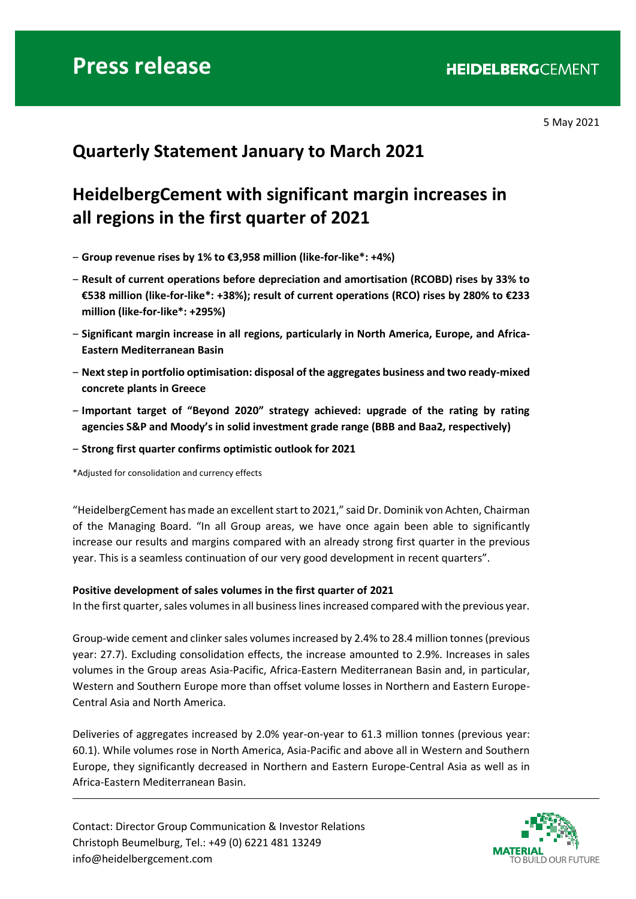5 May 2021

# **Quarterly Statement January to March 2021**

# **HeidelbergCement with significant margin increases in all regions in the first quarter of 2021**

- ‒ **Group revenue rises by 1% to €3,958 million (like-for-like\*: +4%)**
- ‒ **Result of current operations before depreciation and amortisation (RCOBD) rises by 33% to €538 million (like-for-like\*: +38%); result of current operations (RCO) rises by 280% to €233 million (like-for-like\*: +295%)**
- ‒ **Significant margin increase in all regions, particularly in North America, Europe, and Africa-Eastern Mediterranean Basin**
- ‒ **Next step in portfolio optimisation: disposal of the aggregates business and two ready-mixed concrete plants in Greece**
- ‒ **Important target of "Beyond 2020" strategy achieved: upgrade of the rating by rating agencies S&P and Moody's in solid investment grade range (BBB and Baa2, respectively)**
- ‒ **Strong first quarter confirms optimistic outlook for 2021**

\*Adjusted for consolidation and currency effects

"HeidelbergCement has made an excellent start to 2021," said Dr. Dominik von Achten, Chairman of the Managing Board. "In all Group areas, we have once again been able to significantly increase our results and margins compared with an already strong first quarter in the previous year. This is a seamless continuation of our very good development in recent quarters".

### **Positive development of sales volumes in the first quarter of 2021**

In the first quarter, sales volumes in all business lines increased compared with the previous year.

Group-wide cement and clinker sales volumes increased by 2.4% to 28.4 million tonnes (previous year: 27.7). Excluding consolidation effects, the increase amounted to 2.9%. Increases in sales volumes in the Group areas Asia-Pacific, Africa-Eastern Mediterranean Basin and, in particular, Western and Southern Europe more than offset volume losses in Northern and Eastern Europe-Central Asia and North America.

Deliveries of aggregates increased by 2.0% year-on-year to 61.3 million tonnes (previous year: 60.1). While volumes rose in North America, Asia-Pacific and above all in Western and Southern Europe, they significantly decreased in Northern and Eastern Europe-Central Asia as well as in Africa-Eastern Mediterranean Basin.

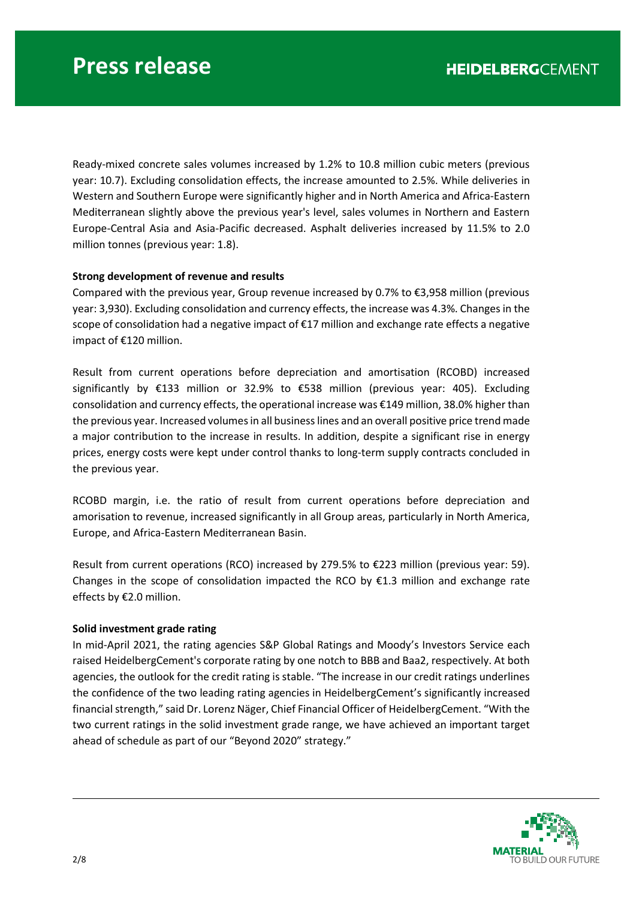Ready-mixed concrete sales volumes increased by 1.2% to 10.8 million cubic meters (previous year: 10.7). Excluding consolidation effects, the increase amounted to 2.5%. While deliveries in Western and Southern Europe were significantly higher and in North America and Africa-Eastern Mediterranean slightly above the previous year's level, sales volumes in Northern and Eastern Europe-Central Asia and Asia-Pacific decreased. Asphalt deliveries increased by 11.5% to 2.0 million tonnes (previous year: 1.8).

## **Strong development of revenue and results**

Compared with the previous year, Group revenue increased by 0.7% to €3,958 million (previous year: 3,930). Excluding consolidation and currency effects, the increase was 4.3%. Changes in the scope of consolidation had a negative impact of €17 million and exchange rate effects a negative impact of €120 million.

Result from current operations before depreciation and amortisation (RCOBD) increased significantly by €133 million or 32.9% to €538 million (previous year: 405). Excluding consolidation and currency effects, the operational increase was €149 million, 38.0% higher than the previous year. Increased volumes in all business lines and an overall positive price trend made a major contribution to the increase in results. In addition, despite a significant rise in energy prices, energy costs were kept under control thanks to long-term supply contracts concluded in the previous year.

RCOBD margin, i.e. the ratio of result from current operations before depreciation and amorisation to revenue, increased significantly in all Group areas, particularly in North America, Europe, and Africa-Eastern Mediterranean Basin.

Result from current operations (RCO) increased by 279.5% to €223 million (previous year: 59). Changes in the scope of consolidation impacted the RCO by  $\epsilon$ 1.3 million and exchange rate effects by €2.0 million.

### **Solid investment grade rating**

In mid-April 2021, the rating agencies S&P Global Ratings and Moody's Investors Service each raised HeidelbergCement's corporate rating by one notch to BBB and Baa2, respectively. At both agencies, the outlook for the credit rating is stable. "The increase in our credit ratings underlines the confidence of the two leading rating agencies in HeidelbergCement's significantly increased financial strength," said Dr. Lorenz Näger, Chief Financial Officer of HeidelbergCement. "With the two current ratings in the solid investment grade range, we have achieved an important target ahead of schedule as part of our "Beyond 2020" strategy."

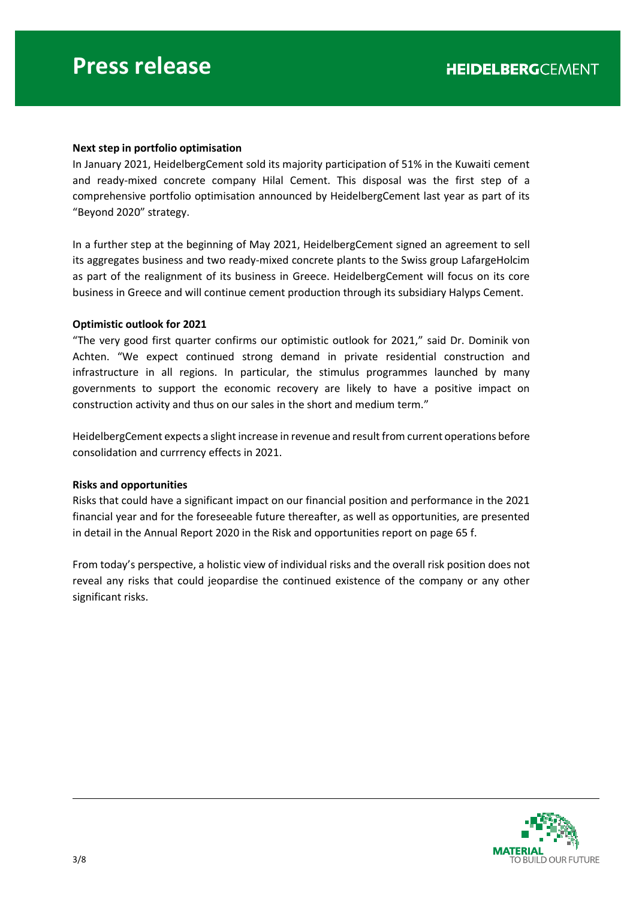#### **Next step in portfolio optimisation**

In January 2021, HeidelbergCement sold its majority participation of 51% in the Kuwaiti cement and ready-mixed concrete company Hilal Cement. This disposal was the first step of a comprehensive portfolio optimisation announced by HeidelbergCement last year as part of its "Beyond 2020" strategy.

In a further step at the beginning of May 2021, HeidelbergCement signed an agreement to sell its aggregates business and two ready-mixed concrete plants to the Swiss group LafargeHolcim as part of the realignment of its business in Greece. HeidelbergCement will focus on its core business in Greece and will continue cement production through its subsidiary Halyps Cement.

#### **Optimistic outlook for 2021**

"The very good first quarter confirms our optimistic outlook for 2021," said Dr. Dominik von Achten. "We expect continued strong demand in private residential construction and infrastructure in all regions. In particular, the stimulus programmes launched by many governments to support the economic recovery are likely to have a positive impact on construction activity and thus on our sales in the short and medium term."

HeidelbergCement expects a slight increase in revenue and result from current operations before consolidation and currrency effects in 2021.

#### **Risks and opportunities**

Risks that could have a significant impact on our financial position and performance in the 2021 financial year and for the foreseeable future thereafter, as well as opportunities, are presented in detail in the Annual Report 2020 in the Risk and opportunities report on page 65 f.

From today's perspective, a holistic view of individual risks and the overall risk position does not reveal any risks that could jeopardise the continued existence of the company or any other significant risks.

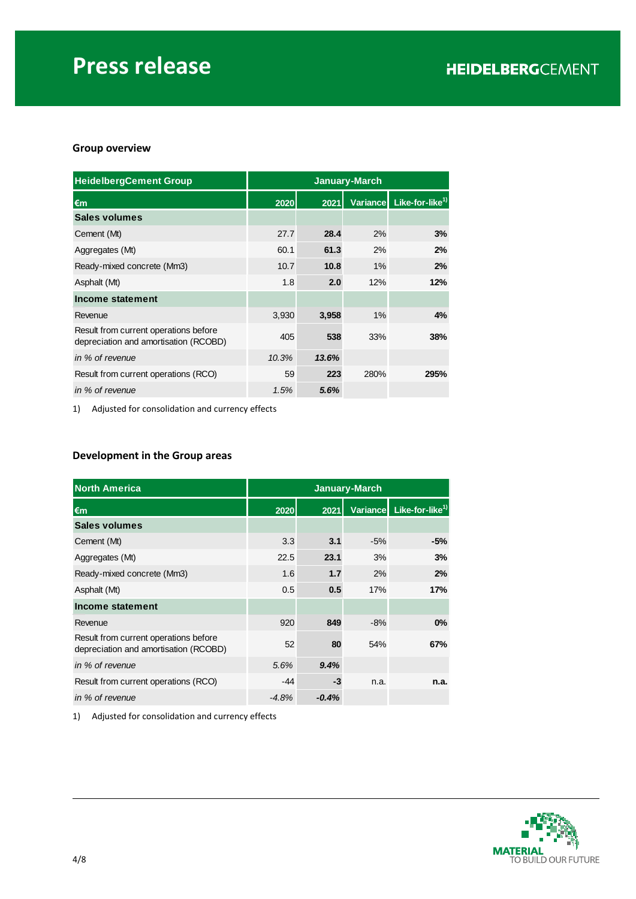## **Group overview**

| <b>HeidelbergCement Group</b>                                                  | <b>January-March</b> |       |      |                                      |
|--------------------------------------------------------------------------------|----------------------|-------|------|--------------------------------------|
| $\epsilon$ m                                                                   | 2020                 | 2021  |      | Variance Like-for-like <sup>1)</sup> |
| Sales volumes                                                                  |                      |       |      |                                      |
| Cement (Mt)                                                                    | 27.7                 | 28.4  | 2%   | 3%                                   |
| Aggregates (Mt)                                                                | 60.1                 | 61.3  | 2%   | 2%                                   |
| Ready-mixed concrete (Mm3)                                                     | 10.7                 | 10.8  | 1%   | 2%                                   |
| Asphalt (Mt)                                                                   | 1.8                  | 2.0   | 12%  | 12%                                  |
| Income statement                                                               |                      |       |      |                                      |
| Revenue                                                                        | 3,930                | 3,958 | 1%   | 4%                                   |
| Result from current operations before<br>depreciation and amortisation (RCOBD) | 405                  | 538   | 33%  | 38%                                  |
| in % of revenue                                                                | 10.3%                | 13.6% |      |                                      |
| Result from current operations (RCO)                                           | 59                   | 223   | 280% | 295%                                 |
| in % of revenue                                                                | 1.5%                 | 5.6%  |      |                                      |

1) Adjusted for consolidation and currency effects

## **Development in the Group areas**

| <b>North America</b>                                                           | <b>January-March</b> |         |       |                                      |
|--------------------------------------------------------------------------------|----------------------|---------|-------|--------------------------------------|
| €m                                                                             | 2020                 | 2021    |       | Variance Like-for-like <sup>1)</sup> |
| Sales volumes                                                                  |                      |         |       |                                      |
| Cement (Mt)                                                                    | 3.3                  | 3.1     | $-5%$ | -5%                                  |
| Aggregates (Mt)                                                                | 22.5                 | 23.1    | 3%    | 3%                                   |
| Ready-mixed concrete (Mm3)                                                     | 1.6                  | 1.7     | 2%    | 2%                                   |
| Asphalt (Mt)                                                                   | 0.5                  | 0.5     | 17%   | 17%                                  |
| Income statement                                                               |                      |         |       |                                      |
| Revenue                                                                        | 920                  | 849     | $-8%$ | 0%                                   |
| Result from current operations before<br>depreciation and amortisation (RCOBD) | 52                   | 80      | 54%   | 67%                                  |
| in % of revenue                                                                | 5.6%                 | 9.4%    |       |                                      |
| Result from current operations (RCO)                                           | -44                  | -3      | n.a.  | n.a.                                 |
| in % of revenue                                                                | $-4.8%$              | $-0.4%$ |       |                                      |

1) Adjusted for consolidation and currency effects

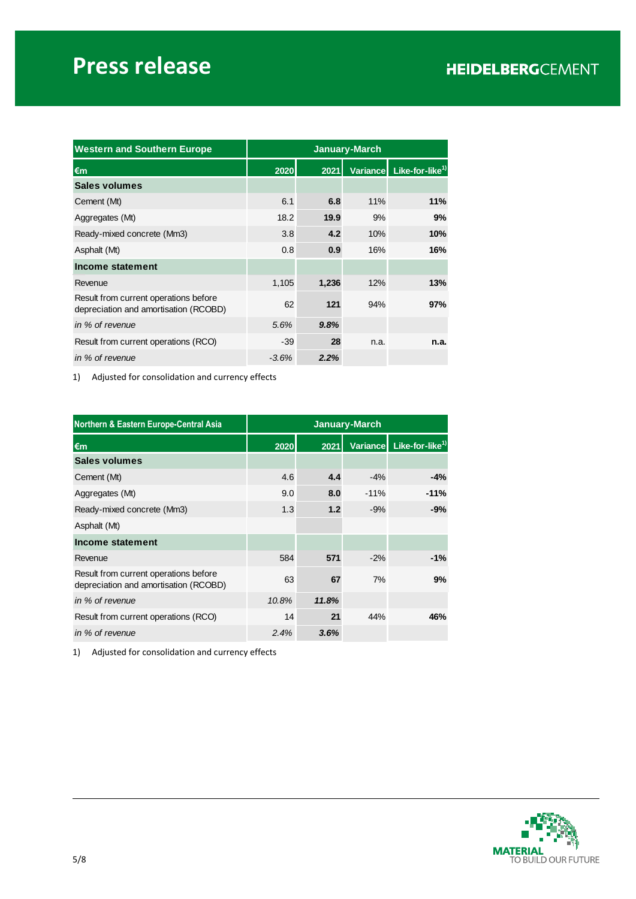# **Press release**

| <b>Western and Southern Europe</b>                                             | <b>January-March</b> |       |      |                                      |
|--------------------------------------------------------------------------------|----------------------|-------|------|--------------------------------------|
| €m                                                                             | 2020                 | 2021  |      | Variance Like-for-like <sup>1)</sup> |
| <b>Sales volumes</b>                                                           |                      |       |      |                                      |
| Cement (Mt)                                                                    | 6.1                  | 6.8   | 11%  | 11%                                  |
| Aggregates (Mt)                                                                | 18.2                 | 19.9  | 9%   | 9%                                   |
| Ready-mixed concrete (Mm3)                                                     | 3.8                  | 4.2   | 10%  | 10%                                  |
| Asphalt (Mt)                                                                   | 0.8                  | 0.9   | 16%  | 16%                                  |
| Income statement                                                               |                      |       |      |                                      |
| Revenue                                                                        | 1,105                | 1,236 | 12%  | 13%                                  |
| Result from current operations before<br>depreciation and amortisation (RCOBD) | 62                   | 121   | 94%  | 97%                                  |
| in % of revenue                                                                | 5.6%                 | 9.8%  |      |                                      |
| Result from current operations (RCO)                                           | $-39$                | 28    | n.a. | n.a.                                 |
| in % of revenue                                                                | $-3.6\%$             | 2.2%  |      |                                      |

1) Adjusted for consolidation and currency effects

| Northern & Eastern Europe-Central Asia                                         | <b>January-March</b> |       |        |                                      |
|--------------------------------------------------------------------------------|----------------------|-------|--------|--------------------------------------|
| €m                                                                             | 2020                 | 2021  |        | Variance Like-for-like <sup>1)</sup> |
| <b>Sales volumes</b>                                                           |                      |       |        |                                      |
| Cement (Mt)                                                                    | 4.6                  | 4.4   | $-4%$  | $-4%$                                |
| Aggregates (Mt)                                                                | 9.0                  | 8.0   | $-11%$ | $-11%$                               |
| Ready-mixed concrete (Mm3)                                                     | 1.3                  | 1.2   | $-9%$  | $-9%$                                |
| Asphalt (Mt)                                                                   |                      |       |        |                                      |
| Income statement                                                               |                      |       |        |                                      |
| Revenue                                                                        | 584                  | 571   | $-2%$  | $-1%$                                |
| Result from current operations before<br>depreciation and amortisation (RCOBD) | 63                   | 67    | 7%     | 9%                                   |
| in % of revenue                                                                | 10.8%                | 11.8% |        |                                      |
| Result from current operations (RCO)                                           | 14                   | 21    | 44%    | 46%                                  |
| in % of revenue                                                                | 2.4%                 | 3.6%  |        |                                      |

1) Adjusted for consolidation and currency effects

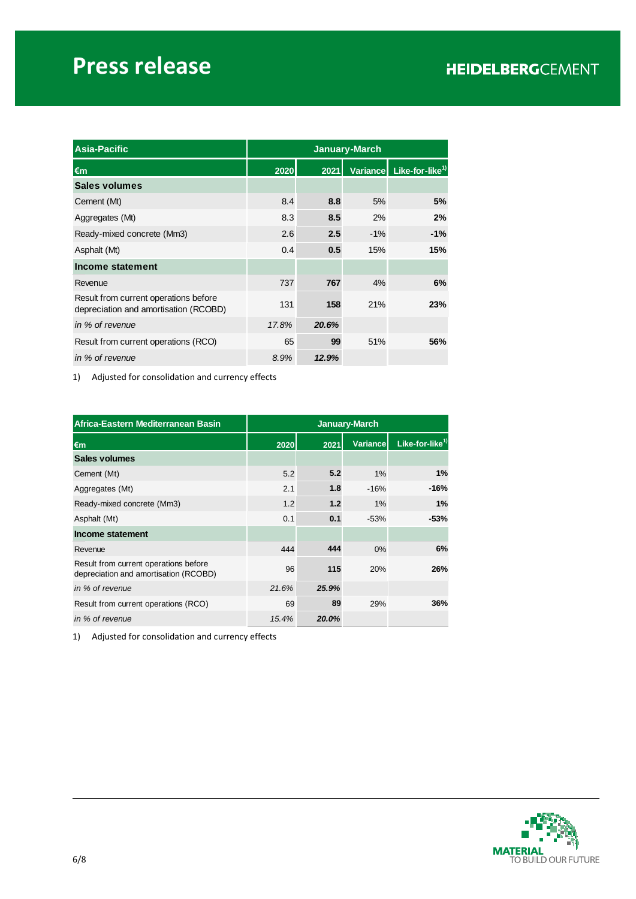# **Press release**

| <b>Asia-Pacific</b>                                                            | <b>January-March</b> |       |       |                                      |
|--------------------------------------------------------------------------------|----------------------|-------|-------|--------------------------------------|
| €m                                                                             | 2020                 | 2021  |       | Variance Like-for-like <sup>1)</sup> |
| <b>Sales volumes</b>                                                           |                      |       |       |                                      |
| Cement (Mt)                                                                    | 8.4                  | 8.8   | 5%    | 5%                                   |
| Aggregates (Mt)                                                                | 8.3                  | 8.5   | 2%    | 2%                                   |
| Ready-mixed concrete (Mm3)                                                     | 2.6                  | 2.5   | $-1%$ | $-1%$                                |
| Asphalt (Mt)                                                                   | 0.4                  | 0.5   | 15%   | 15%                                  |
| Income statement                                                               |                      |       |       |                                      |
| Revenue                                                                        | 737                  | 767   | 4%    | 6%                                   |
| Result from current operations before<br>depreciation and amortisation (RCOBD) | 131                  | 158   | 21%   | 23%                                  |
| in % of revenue                                                                | 17.8%                | 20.6% |       |                                      |
| Result from current operations (RCO)                                           | 65                   | 99    | 51%   | 56%                                  |
| in % of revenue                                                                | 8.9%                 | 12.9% |       |                                      |

1) Adjusted for consolidation and currency effects

| Africa-Eastern Mediterranean Basin                                             | January-March |       |                 |                             |
|--------------------------------------------------------------------------------|---------------|-------|-----------------|-----------------------------|
| €m                                                                             | 2020          | 2021  | <b>Variance</b> | Like-for-like <sup>1)</sup> |
| Sales volumes                                                                  |               |       |                 |                             |
| Cement (Mt)                                                                    | 5.2           | 5.2   | 1%              | 1%                          |
| Aggregates (Mt)                                                                | 2.1           | 1.8   | $-16%$          | $-16%$                      |
| Ready-mixed concrete (Mm3)                                                     | 1.2           | 1.2   | 1%              | 1%                          |
| Asphalt (Mt)                                                                   | 0.1           | 0.1   | $-53%$          | $-53%$                      |
| Income statement                                                               |               |       |                 |                             |
| Revenue                                                                        | 444           | 444   | $0\%$           | 6%                          |
| Result from current operations before<br>depreciation and amortisation (RCOBD) | 96            | 115   | 20%             | 26%                         |
| in % of revenue                                                                | 21.6%         | 25.9% |                 |                             |
| Result from current operations (RCO)                                           | 69            | 89    | 29%             | 36%                         |
| in % of revenue                                                                | 15.4%         | 20.0% |                 |                             |

1) Adjusted for consolidation and currency effects

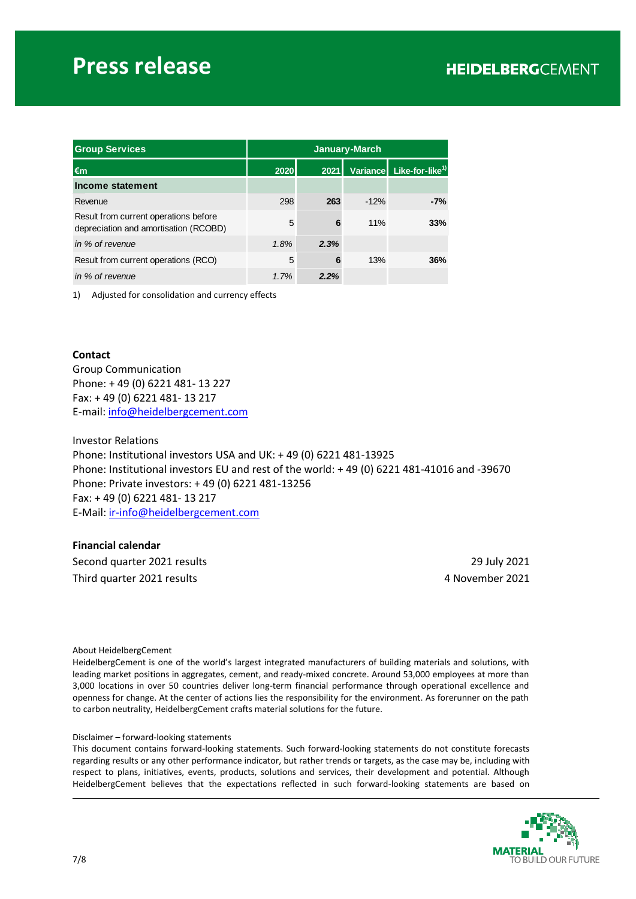# **Press release**

| <b>Group Services</b>                                                          | <b>January-March</b> |      |        |                                      |
|--------------------------------------------------------------------------------|----------------------|------|--------|--------------------------------------|
| l€m                                                                            | 2020                 | 2021 |        | Variance Like-for-like <sup>1)</sup> |
| Income statement                                                               |                      |      |        |                                      |
| Revenue                                                                        | 298                  | 263  | $-12%$ | $-7%$                                |
| Result from current operations before<br>depreciation and amortisation (RCOBD) | 5                    | 6    | 11%    | 33%                                  |
| in % of revenue                                                                | 1.8%                 | 2.3% |        |                                      |
| Result from current operations (RCO)                                           | 5                    | 6    | 13%    | 36%                                  |
| in % of revenue                                                                | 1.7%                 | 2.2% |        |                                      |

1) Adjusted for consolidation and currency effects

#### **Contact**

Group Communication Phone: + 49 (0) 6221 481- 13 227 Fax: + 49 (0) 6221 481- 13 217 E-mail: [info@heidelbergcement.com](mailto:info@heidelbergcement.com)

Investor Relations Phone: Institutional investors USA and UK: + 49 (0) 6221 481-13925 Phone: Institutional investors EU and rest of the world: + 49 (0) 6221 481-41016 and -39670 Phone: Private investors: + 49 (0) 6221 481-13256 Fax: + 49 (0) 6221 481- 13 217 E-Mail: [ir-info@heidelbergcement.com](mailto:ir-info@heidelbergcement.com)

#### **Financial calendar**

Second quarter 2021 results 29 July 2021 Third quarter 2021 results 4 November 2021

#### About HeidelbergCement

HeidelbergCement is one of the world's largest integrated manufacturers of building materials and solutions, with leading market positions in aggregates, cement, and ready-mixed concrete. Around 53,000 employees at more than 3,000 locations in over 50 countries deliver long-term financial performance through operational excellence and openness for change. At the center of actions lies the responsibility for the environment. As forerunner on the path to carbon neutrality, HeidelbergCement crafts material solutions for the future.

#### Disclaimer – forward-looking statements

This document contains forward-looking statements. Such forward-looking statements do not constitute forecasts regarding results or any other performance indicator, but rather trends or targets, as the case may be, including with respect to plans, initiatives, events, products, solutions and services, their development and potential. Although HeidelbergCement believes that the expectations reflected in such forward-looking statements are based on